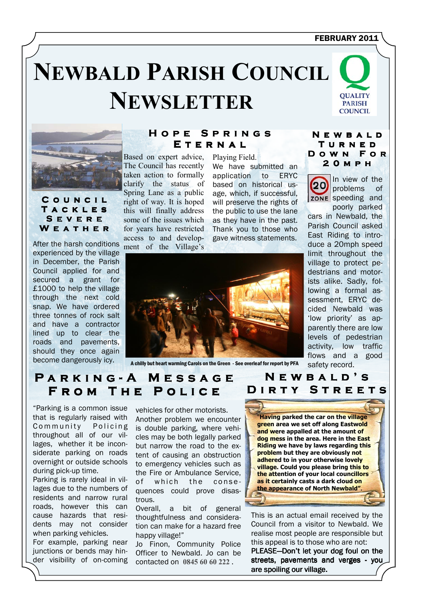### FEBRUARY 2011

# **NEWBALD PARISH COUNCIL NEWSLETTER**





C o u n c i l **TACKLES** S e v e r e W E A T H E R

After the harsh conditions experienced by the village in December, the Parish Council applied for and secured a grant for £1000 to help the village through the next cold snap. We have ordered three tonnes of rock salt and have a contractor lined up to clear the roads and pavements, should they once again

# HOPE SPRINGS E T E R N A L

Based on expert advice, The Council has recently taken action to formally clarify the status of Spring Lane as a public right of way. It is hoped this will finally address some of the issues which for years have restricted access to and development of the Village's

Playing Field. We have submitted an application to ERYC based on historical usage, which, if successful, will preserve the rights of the public to use the lane as they have in the past. Thank you to those who gave witness statements.



N e w b a l d T u r n e d D o w n F o r 2 0 m p h

In view of the problems of zone speeding and poorly parked

cars in Newbald, the Parish Council asked East Riding to introduce a 20mph speed limit throughout the village to protect pedestrians and motorists alike. Sadly, following a formal assessment, ERYC decided Newbald was 'low priority' as apparently there are low levels of pedestrian activity, low traffic flows and a good safety record.

#### PARKING-A MESSAGE FROM THE POLICE NEWBALD'S D I R T Y S T R E E T S

"Parking is a common issue that is regularly raised with Community Policing throughout all of our villages, whether it be inconsiderate parking on roads overnight or outside schools during pick-up time.

Parking is rarely ideal in villages due to the numbers of residents and narrow rural roads, however this can cause hazards that residents may not consider when parking vehicles.

For example, parking near junctions or bends may hinder visibility of on-coming Another problem we encounter is double parking, where vehicles may be both legally parked but narrow the road to the extent of causing an obstruction to emergency vehicles such as the Fire or Ambulance Service,

vehicles for other motorists.

of which the consequences could prove disastrous.

Overall, a bit of general thoughtfulness and consideration can make for a hazard free happy village!"

Jo Finon, Community Police Officer to Newbald. Jo can be contacted on 0845 60 60 222 .



This is an actual email received by the Council from a visitor to Newbald. We realise most people are responsible but this appeal is to those who are not: PLEASE-Don't let your dog foul on the streets, pavements and verges - you are spoiling our village.